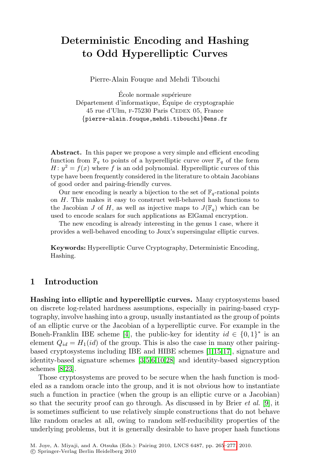# **Deterministic Encoding and Hashing to Odd Hyperelliptic Curves**

Pierre-Alain Fouque and Mehdi Tibouchi

École normale supérieure Département d'informatique, Équipe de cryptographie 45 rue d'Ulm, F-75230 Paris CEDEX 05, France {pierre-alain.fouque,mehdi.tibouchi}@ens.fr

Abstract. In this paper we propose a very simple and efficient encoding function from  $\mathbb{F}_q$  to points of a hyperelliptic curve over  $\mathbb{F}_q$  of the form  $H: y^2 = f(x)$  where f is an odd polynomial. Hyperelliptic curves of this type have been frequently considered in the literature to obtain Jacobians of good order and pairing-friendly curves.

Our new encoding is nearly a bijection to the set of  $\mathbb{F}_q$ -rational points on H. This makes it easy to construct well-behaved hash functions to the Jacobian J of H, as well as injective maps to  $J(\mathbb{F}_q)$  which can be used to encode scalars for such applications as ElGamal encryption.

The new encoding is already interesting in the genus 1 case, where it provides a well-behaved encoding to Joux's supersingular elliptic curves.

**Keywords:** Hyperelliptic Curve Cryptography, Deterministic Encoding, Hashing.

## **1 Introduction**

**Hashing into [el](#page-11-0)[li](#page-11-1)[pt](#page-11-2)[ic](#page-11-3) [and](#page-12-0) hyperelliptic curves.** Many cryptosystems based on discrete log-related hardness assumptions, especially in pairing-based cryptography, involve hashing into a group, usually instantiated as the group of points of an elliptic curve or the Jacobian of a hyperelliptic curve. For example in the Boneh-Franklin IBE scheme [4], the public-key for id[ent](#page-11-4)ity  $id \in \{0,1\}^*$  is an element  $Q_{id} = H_1(id)$  of the group. This is also the case in many other pairingbased cryptosystems including IBE and HIBE schemes [1,15,17], signature and identity-based signature schemes [3,5,6,10,28] and identity-based signcryption schemes [8,23].

Those cryptosystems are proved to be s[ecure](#page-12-1) when the hash function is modeled as a random oracle into the group, and it is not obvious how to instantiate such a function in practice (when the group is an elliptic curve or a Jacobian) so that the security proof can go through. As discussed in by Brier *et al.* [9], it is sometimes sufficient to use relatively simple constructions that do not behave like random oracles at all, owing to random self-reducibility properties of the underlying problems, but it is generally desirable to have proper hash functions

M. Joye, A. Miyaji, and A. Otsuka (Eds.): Pairing 2010, LNCS 6487, pp. 265–277, 2010. c Springer-Verlag Berlin Heidelberg 2010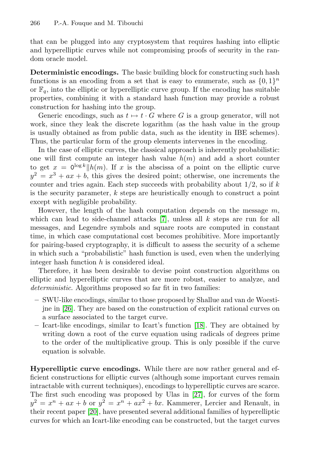that can be plugged into any cryptosystem that requires hashing into elliptic and hyperelliptic curves while not compromising proofs of security in the random oracle model.

**Deterministic encodings.** The basic building block for constructing such hash functions is an encoding from a set that is easy to enumerate, such as  $\{0, 1\}^n$ or  $\mathbb{F}_q$ , into the elliptic or hyperelliptic curve group. If the encoding has suitable properties, combining it with a standard hash function may provide a robust construction for hashing into the group.

Generic encodings, such as  $t \mapsto t \cdot G$  where G is a group generator, will not work, since they leak the discrete logarithm (as the hash value in the group is usually obtained as from public data, such as the identity in IBE schemes). Thus, the particular form of the group elements intervenes in the encoding.

In the case of ellipti[c c](#page-11-5)urves, the classical approach is inherently probabilistic: one will first compute an integer hash value  $h(m)$  and add a short counter to get  $x = 0^{\log k} || h(m)$ . If x is the abscissa of a point on the elliptic curve  $y^2 = x^3 + ax + b$ , this gives the desired point; otherwise, one increments the counter and tries again. Each step succeeds with probability about  $1/2$ , so if k is the security parameter,  $k$  steps are heuristically enough to construct a point except with negligible probability.

However, the length of the hash computation depends on the message  $m$ , which can lead to side-channel attacks  $[7]$ , unless all k steps are run for all messages, and Legendre symbols and square roots are computed in constant time, in which case computational cost becomes prohibitive. More importantly for pairing-based cryptography, it is difficult to assess the security of a scheme in which such a "probabilistic" hash function is used, even when the underlying integer hash function h is conside[red](#page-11-6) ideal.

Therefore, it has been desirable to devise point construction algorithms on elliptic and hyperelliptic curves that are more robust, easier to analyze, and *deterministic*. Algorithms proposed so far fit in two families:

- **–** SWU-like encodings, similar to those proposed by Shallue and van de Woestijne in [26]. They are based on the construction of explicit rational curves on a surface associated to the target curve.
- **–** Icart-like encodings, similar [to](#page-12-2) Icart's function [18]. They are obtained by writing down a root of the curve equation using radicals of degrees prime to the order of the multiplicative group. This is only possible if the curve equation is solvable.

**Hyperelliptic curve encodings.** While there are now rather general and efficient constructions for elliptic curves (although some important curves remain intractable with current techniques), encodings to hyperelliptic curves are scarce. The first such encoding was proposed by Ulas in [27], for curves of the form  $y^2 = x^n + ax + b$  or  $y^2 = x^n + ax^2 + bx$ . Kammerer, Lercier and Renault, in their recent paper [20], have presented several additional families of hyperelliptic curves for which an Icart-like encoding can be constructed, but the target curves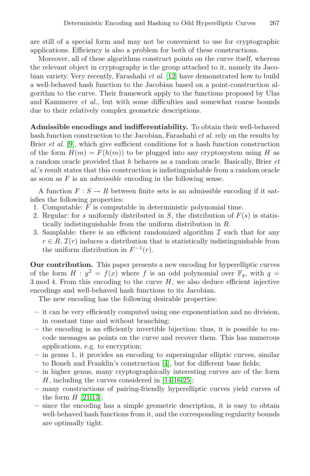are still of a special form and may not be convenient to use for cryptographic applications. Efficiency is also a problem for both of these constructions.

Moreover, all of these algorithms construct points on the curve itself, whereas the relevant object in cryptography is the group attached to it, namely its Jacobian variety. Very recently, Farashahi *et al.* [12] have demonstrated how to build a well-behaved hash function to the Jacobian based on a point-construction algorithm to the curve. Their framework apply to the functions proposed by Ulas and Kammerer *et al.*, but with some difficulties and somewhat coarse bounds due to their relatively complex geometric descriptions.

**Admissible encodings and indifferentiability.** To obtain their well-behaved hash function construction to the Jacobian, Farashahi *et al.* rely on the results by Brier *et al.* [9], which give sufficient conditions for a hash function construction of the form  $H(m) = F(h(m))$  to be plugged into any cryptosystem using H as a random oracle provided that h behaves as a random oracle. Basically, Brier *et al.*'s result states that this construction is indistinguishable from a random oracle as soon as F is an *admissible* encoding in the following sense.

A function  $F : S \to R$  between finite sets is an admissible encoding if it satisfies the following properties:

- 1. Computable:  $\overline{F}$  is computable in deterministic polynomial time.
- 2. Regular: for s uniformly distributed in S, the distribution of  $F(s)$  is statistically indistinguishable from the uniform distribution in R.
- 3. Samplable: there is an efficient randomized algorithm  $\mathcal I$  such that for any  $r \in R$ ,  $\mathcal{I}(r)$  induces a distribution that is statistically indistinguishable from the uniform distribution in  $F^{-1}(r)$ .

**Our contribution.** This paper presents a new encoding for hyperelliptic curves of the form  $H : y^2 = f(x)$  where f is an odd polynomial over  $\mathbb{F}_q$ , with  $q =$  $3 \mod 4$ . From this encoding to the curve  $H$ , we also deduce efficient injective encodings and well-behaved hash functions to its Jacobian.

The new encoding h[as](#page-11-7) the following desirable properties:

- **–** it can be very efficie[ntl](#page-11-8)[y c](#page-11-9)[om](#page-12-3)puted using one exponentiation and no division, in constant time and without branching;
- **[–](#page-11-10)** the encoding is an efficiently invertible bijection: thus, it is possible to encode messages as points on the curve and recover them. This has numerous applications, e.g. to encryption;
- **–** in genus 1, it provides an encoding to supersingular elliptic curves, similar to Boneh and Franklin's construction [4], but for different base fields;
- **–** in higher genus, many cryptographically interesting curves are of the form H, including the curves considered in [14,16,25];
- **–** many constructions of pairing-friendly hyperelliptic curves yield curves of the form  $H$  [21,13]:
- **–** since the encoding has a simple geometric description, it is easy to obtain well-behaved hash functions from it, and the corresponding regularity bounds are optimally tight.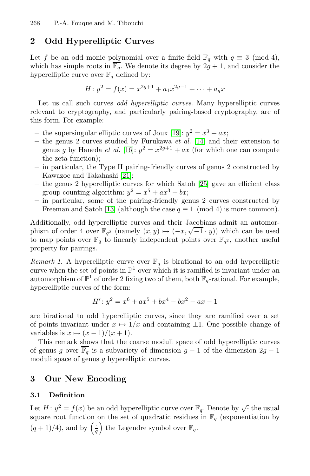# **2 Odd Hyperelliptic Curves**

Let f be an odd monic polynomial over a finite field  $\mathbb{F}_q$  with  $q \equiv 3 \pmod{4}$ , which has simple roots in  $\overline{\mathbb{F}_q}$  $\overline{\mathbb{F}_q}$  $\overline{\mathbb{F}_q}$ . We denote its degree by  $2g + 1$ , and consider the hyperelliptic curve over  $\mathbb{F}_q$  define[d b](#page-11-8)y:

$$
H: y^2 = f(x) = x^{2g+1} + a_1 x^{2g-1} + \dots + a_g x
$$

Let us call such curves *odd hyperelliptic curves*. Many hyperelliptic curves relevant t[o](#page-12-4) [c](#page-12-4)ryptography, and pa[rticu](#page-12-3)larly pairing-based cryptography, are of this form. For example:

- the supersingular elliptic curves of Joux [19]:  $y^2 = x^3 + ax$ ;
- **–** t[he](#page-11-10) genus 2 curves studied by Furukawa *et al.* [14] and their extension to genus g by Haneda *et al.* [16]:  $y^2 = x^{2g+1} + ax$  (for which one can compute the zeta function);
- **–** in particular, the Type II pairing-friendly curves of genus 2 constructed by Kawazoe and Takahashi [21];
- **–** the genus 2 hyperelliptic curves for which Satoh [25] gave an efficient class group counting algorithm:  $y^2 = x^5 + ax^3 + bx$ ;
- **–** in particular, some of the pairing-friendly genus 2 curves constructed by Freeman and Satoh [13] (although the case  $q \equiv 1 \pmod{4}$  is more common).

Additionally, odd hyperelliptic curves and their Jacobians admit an automorphism of order 4 over  $\mathbb{F}_{q^2}$  (namely  $(x, y) \mapsto (-x, \sqrt{-1} \cdot y)$ ) which can be used to map points over  $\mathbb{F}_q$  to linearly independent points over  $\mathbb{F}_{q^2}$ , another useful property for pairings.

*Remark 1.* A hyperelliptic curve over  $\mathbb{F}_q$  is birational to an odd hyperelliptic curve when the set of points in  $\mathbb{P}^1$  over which it is ramified is invariant under an automorphism of  $\mathbb{P}^1$  of order 2 fixing two of them, both  $\mathbb{F}_q$ -rational. For example, hyperelliptic curves of the form:

$$
H': y^2 = x^6 + ax^5 + bx^4 - bx^2 - ax - 1
$$

<span id="page-3-0"></span>are birational to odd hyperelliptic curves, since they are ramified over a set of points invariant under  $x \mapsto 1/x$  and containing  $\pm 1$ . One possible change of variables is  $x \mapsto (x-1)/(x+1)$ .

This remark shows that the coarse moduli space of odd hyperelliptic curves of genus g over  $\overline{\mathbb{F}_q}$  is a subvariety of dimension  $g-1$  of the dimension  $2g-1$ moduli space of genus g hyperelliptic curves.

#### **3 Our New Encoding**

### **3.1 Definition**

Let  $H: y^2 = f(x)$  be an odd hyperelliptic curve over  $\mathbb{F}_q$ . Denote by  $\sqrt{\cdot}$  the usual square root function on the set of quadratic residues in  $\mathbb{F}_q$  (exponentiation by  $(q+1)/4$ , and by  $\left(\frac{1}{q}\right)$  the Legendre symbol over  $\mathbb{F}_q$ .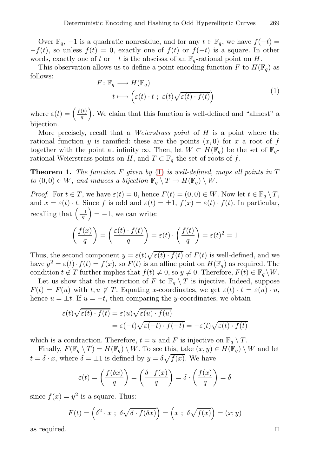<span id="page-4-0"></span>Over  $\mathbb{F}_q$ , -1 is a quadratic nonresidue, and for any  $t \in \mathbb{F}_q$ , we have  $f(-t) =$  $-f(t)$ , so unless  $f(t) = 0$ , exactly one of  $f(t)$  or  $f(-t)$  is a square. In other words, exactly one of t or  $-t$  is the abscissa of an  $\mathbb{F}_q$ -rational point on H.

This observation allows us to define a point encoding function F to  $H(\mathbb{F}_q)$  as follows:

$$
F: \mathbb{F}_q \longrightarrow H(\mathbb{F}_q)
$$
  

$$
t \longmapsto \left(\varepsilon(t) \cdot t \; ; \; \varepsilon(t) \sqrt{\varepsilon(t) \cdot f(t)}\right)
$$
 (1)

where  $\varepsilon(t) = \frac{f(t)}{a}$  $\left(\frac{t}{q}\right)$ . We claim that this function is well-defined and "almost" a bijection.

More precisely, recall that a *Weierstrass point* of H is a point where the rational function y is ramified: these are the points  $(x, 0)$  for x a root of f together with the point at infinity  $\infty$ . Then, let  $W \subset H(\mathbb{F}_q)$  be the set of  $\mathbb{F}_q$ rational Weierstrass points on H, and  $T \subset \mathbb{F}_q$  the set of roots of f.

**Theorem 1.** *The function* F *given by* (1) *is well-defined, maps all points in* T *to*  $(0,0) \in W$ *, and induces a bijection*  $\mathbb{F}_q \setminus T \to H(\mathbb{F}_q) \setminus W$ *.* 

*Proof.* For  $t \in T$ , we have  $\varepsilon(t) = 0$ , hence  $F(t) = (0, 0) \in W$ . Now let  $t \in \mathbb{F}_q \setminus T$ , and  $x = \varepsilon(t) \cdot t$ . Since f is odd and  $\varepsilon(t) = \pm 1$ ,  $f(x) = \varepsilon(t) \cdot f(t)$ . In particular, recalling that  $\left(\frac{-1}{q}\right) = -1$ , we can write:

$$
\left(\frac{f(x)}{q}\right) = \left(\frac{\varepsilon(t) \cdot f(t)}{q}\right) = \varepsilon(t) \cdot \left(\frac{f(t)}{q}\right) = \varepsilon(t)^2 = 1
$$

Thus, the second component  $y = \varepsilon(t)\sqrt{\varepsilon(t)} \cdot f(t)$  of  $F(t)$  is well-defined, and we have  $y^2 = \varepsilon(t) \cdot f(t) = f(x)$ , so  $F(t)$  is an affine point on  $H(\mathbb{F}_q)$  as required. The condition  $t \notin T$  further implies that  $f(t) \neq 0$ , so  $y \neq 0$ . Therefore,  $F(t) \in \mathbb{F}_q \setminus W$ .

Let us show that the restriction of F to  $\mathbb{F}_q \setminus T$  is injective. Indeed, suppose  $F(t) = F(u)$  with  $t, u \notin T$ . Equating x-coordinates, we get  $\varepsilon(t) \cdot t = \varepsilon(u) \cdot u$ , hence  $u = \pm t$ . If  $u = -t$ , then comparing the y-coordinates, we obtain

$$
\varepsilon(t)\sqrt{\varepsilon(t)\cdot f(t)} = \varepsilon(u)\sqrt{\varepsilon(u)\cdot f(u)}
$$

$$
= \varepsilon(-t)\sqrt{\varepsilon(-t)\cdot f(-t)} = -\varepsilon(t)\sqrt{\varepsilon(t)\cdot f(t)}
$$

which is a condraction. Therefore,  $t = u$  and F is injective on  $\mathbb{F}_q \setminus T$ .

Finally,  $F(\mathbb{F}_q \setminus T) = H(\mathbb{F}_q) \setminus W$ . To see this, take  $(x, y) \in H(\mathbb{F}_q) \setminus W$  and let  $t = \delta \cdot x$ , where  $\delta = \pm 1$  is defined by  $y = \delta \sqrt{f(x)}$ . We have

$$
\varepsilon(t) = \left(\frac{f(\delta x)}{q}\right) = \left(\frac{\delta \cdot f(x)}{q}\right) = \delta \cdot \left(\frac{f(x)}{q}\right) = \delta
$$

since  $f(x) = y^2$  is a square. Thus:

$$
F(t) = \left(\delta^2 \cdot x \; ; \; \delta\sqrt{\delta \cdot f(\delta x)}\right) = \left(x \; ; \; \delta\sqrt{f(x)}\right) = (x; y)
$$

as required.  $\square$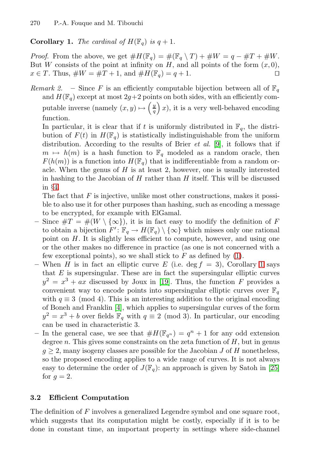### <span id="page-5-0"></span>**Corollary 1.** *The cardinal of*  $H(\mathbb{F}_q)$  *is*  $q + 1$ *.*

*Proof.* From the above, we get  $\#H(\mathbb{F}_q) = \#(\mathbb{F}_q \setminus T) + \#W = q - \#T + \#W$ . But W consists of the point at infinity on H, and all points of the form  $(x, 0)$ ,  $x \in T$ . Thus,  $\#W = \#T + 1$ , and  $\#H(\mathbb{F}_q) = q + 1$  $\#H(\mathbb{F}_q) = q + 1$  $\#H(\mathbb{F}_q) = q + 1$ .

*Remark 2.* – Since F is an efficiently computable bijection between all of  $\mathbb{F}_q$ and  $H(\mathbb{F}_q)$  except at most  $2g+2$  points on both sides, with an efficiently computable inverse (namely  $(x, y) \mapsto \left(\frac{y}{q}\right)x$ ), it is a very well-behaved encoding function.

In particular, it is clear that if t is uniformly distributed in  $\mathbb{F}_q$ , the distribution of  $F(t)$  in  $H(\mathbb{F}_q)$  is statistically indistinguishable from the uniform distribution. According to the results of Brier *et al.* [9], it follows that if  $m \mapsto h(m)$  is a hash function to  $\mathbb{F}_q$  modeled as a random oracle, then  $F(h(m))$  is a function into  $H(\mathbb{F}_q)$  that is indifferentiable from a random oracle. When the genus of  $H$  is at least 2, however, one is usually interested in hashing to the Jacobian of  $H$  rather than  $H$  itself. This will be discussed in §4.

The fact that  $F$  is injective, unlike most o[the](#page-4-0)r con[str](#page-5-0)uctions, makes it possible to also use it for other purposes than hashing, such as encoding a message to be encrypted, f[or e](#page-11-11)xample with ElGamal.

- **–** Since #T = #(W \ {∞}), it is in fact easy to modify the definition of F to obtain a bijection  $F' : \mathbb{F}_q \to H(\mathbb{F}_q) \setminus \{\infty\}$  which misses only one rational poin[t o](#page-11-7)n  $H$ . It is slightly less efficient to compute, however, and using one or the other makes no difference in practice (as one is not concerned with a few exceptional points), so we shall stick to  $F$  as defined by  $(1)$ .
- When H is in fact an elliptic curve E (i.e. deg  $f = 3$ ), Corollary 1 says that  $E$  is supersingular. These are in fact the supersingular elliptic curves  $y^2 = x^3 + ax$  discussed by Joux in [19]. Thus, the function F provides a convenient way to encode points into supersingular elliptic curves over  $\mathbb{F}_q$ with  $q \equiv 3 \pmod{4}$ . This is an interesting addition t[o th](#page-12-3)e original encoding of Boneh and Franklin [4], which applies to supersingular curves of the form  $y^2 = x^3 + b$  over fields  $\mathbb{F}_q$  with  $q \equiv 2 \pmod{3}$ . In particular, our encoding can be used in characteristic 3.
- In the general case, we see that  $#H(\mathbb{F}_{q^n}) = q^n + 1$  for any odd extension degree n. This gives some constraints on the zeta function of  $H$ , but in genus  $g \geq 2$ , many isogeny classes are possible for the Jacobian J of H nonetheless, so the proposed encoding applies to a wide range of curves. It is not always easy to determine the order of  $J(\mathbb{F}_q)$ : an approach is given by Satoh in [25] for  $q=2$ .

#### **3.2 Efficient Computation**

The definition of F involves a generalized Legendre symbol and one square root, which suggests that its computation might be costly, especially if it is to be done in constant time, an important property in settings where side-channel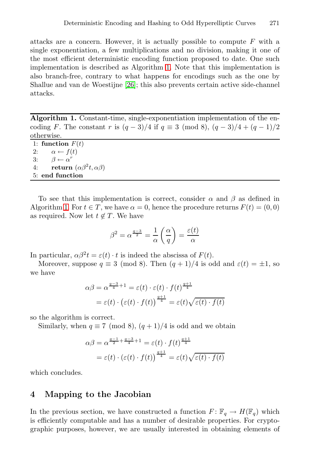attacks are a concern. However, it is actually possible to compute  $F$  with a single exponentiation, a few multiplications and no division, making it one of the most efficient deterministic encoding function proposed to date. One such implementation is described as Algorithm 1. Note that this implementation is also branch-free, contrary to what happens for encodings such as the one by Shallue and van de Woestijne [26]; this also prevents certain active side-channel attacks.

**Algorithm 1.** Constant-time, single-exponentiation implementation of the encoding F. The constant r is  $(q-3)/4$  if  $q \equiv 3 \pmod{8}$ ,  $(q-3)/4 + (q-1)/2$ otherwise.

| $0.1101$ $1.001$ |                                           |
|------------------|-------------------------------------------|
|                  | 1: function $F(t)$                        |
| 2:               | $\alpha \leftarrow f(t)$                  |
| 3:               | $\beta \leftarrow \alpha^r$               |
| 4:               | return $(\alpha \beta^2 t, \alpha \beta)$ |
|                  | 5: end function                           |

To see that this implementation is correct, consider  $\alpha$  and  $\beta$  as defined in Algorithm 1. For  $t \in T$ , we have  $\alpha = 0$ , hence the procedure returns  $F(t) = (0, 0)$ as required. Now let  $t \notin T$ . We have

$$
\beta^2 = \alpha^{\frac{q-3}{2}} = \frac{1}{\alpha} \left( \frac{\alpha}{q} \right) = \frac{\varepsilon(t)}{\alpha}
$$

In particular,  $\alpha \beta^2 t = \varepsilon(t) \cdot t$  is indeed the abscissa of  $F(t)$ .

Moreover, suppose  $q \equiv 3 \pmod{8}$ . Then  $(q + 1)/4$  is odd and  $\varepsilon(t) = \pm 1$ , so we have

$$
\alpha \beta = \alpha^{\frac{q-3}{4}+1} = \varepsilon(t) \cdot \varepsilon(t) \cdot f(t)^{\frac{q+1}{4}}
$$

$$
= \varepsilon(t) \cdot (\varepsilon(t) \cdot f(t))^{\frac{q+1}{4}} = \varepsilon(t) \sqrt{\varepsilon(t) \cdot f(t)}
$$

so the algorithm is correct.

Similarly, when  $q \equiv 7 \pmod{8}$ ,  $(q + 1)/4$  is odd and we obtain

$$
\alpha \beta = \alpha^{\frac{q-1}{2} + \frac{q-3}{4} + 1} = \varepsilon(t) \cdot f(t)^{\frac{q+1}{4}}
$$

$$
= \varepsilon(t) \cdot (\varepsilon(t) \cdot f(t))^{\frac{q+1}{4}} = \varepsilon(t) \sqrt{\varepsilon(t) \cdot f(t)}
$$

which concludes.

### **4 Mapping to the Jacobian**

In the previous section, we have constructed a function  $F: \mathbb{F}_q \to H(\mathbb{F}_q)$  which is efficiently computable and has a number of desirable properties. For cryptographic purposes, however, we are usually interested in obtaining elements of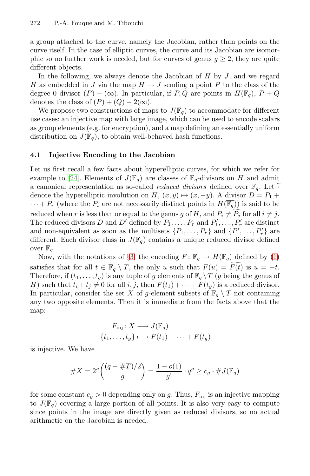a group attached to the curve, namely the Jacobian, rather than points on the curve itself. In the case of elliptic curves, the curve and its Jacobian are isomorphic so no further work is needed, but for curves of genus  $g \geq 2$ , they are quite different objects.

In the following, we always denote the Jacobian of  $H$  by  $J$ , and we regard H as embedded in J via the map  $H \to J$  sending a point P to the class of the degree 0 divisor  $(P) - (\infty)$ . In particular, if P, Q are points in  $H(\mathbb{F}_q)$ ,  $P + Q$ denotes the class of  $(P) + (Q) - 2(\infty)$ .

We propose two constructions of maps to  $J(\mathbb{F}_q)$  to accommodate for different use cases: an injective map with large image, which can be used to encode scalars as group elements (e.g. for encryption), and a map defining an essentially uniform distribution on  $J(\mathbb{F}_q)$ , to obtain well-behaved hash functions.

#### **4.1 Injective Encoding to the Jacobian**

Let us first recall a few facts about hyperelliptic curves, for which we refer for example to [24]. Elements of  $J(\mathbb{F}_q)$  are classes of  $\mathbb{F}_q$ -divisors on H and admit a canonical [re](#page-3-0)presentation as so-called *reduced divisors* [defi](#page-4-0)ned over  $\mathbb{F}_q$ . Let denote the hyperelliptic involution on H,  $(x, y) \mapsto (x, -y)$ . A divisor  $D = P_1 +$  $\cdots + P_r$  (where the  $P_i$  are not necessarily distinct points in  $H(\overline{\mathbb{F}_q})$ ) is said to be reduced when r is less than or equal to the genus g of H, and  $P_i \neq P_j$  for all  $i \neq j$ . The reduced divisors D and D' defined by  $P_1, \ldots, P_r$  and  $P'_1, \ldots, P'_r$  are distinct and non-equivalent as soon as the multisets  $\{P_1, \ldots, P_r\}$  and  $\{P'_1, \ldots, P'_r\}$  are different. Each divisor class in  $J(\mathbb{F}_q)$  contains a unique reduced divisor defined over  $\mathbb{F}_q$ .

Now, with the notations of §3, the encoding  $F: \mathbb{F}_q \to H(\mathbb{F}_q)$  defined by (1) satisfies that for all  $t \in \mathbb{F}_q \setminus T$ , the only u such that  $F(u) = F(t)$  is  $u = -t$ . Therefore, if  $(t_1,\ldots,t_g)$  is any tuple of g elements of  $\mathbb{F}_q \setminus T$  (g being the genus of H) such that  $t_i + t_j \neq 0$  for all  $i, j$ , then  $F(t_1) + \cdots + F(t_g)$  is a reduced divisor. In particular, consider the set X of g-element subsets of  $\mathbb{F}_q \setminus T$  not containing any two opposite elements. Then it is immediate from the facts above that the map:

$$
F_{\text{inj}}: X \longrightarrow J(\mathbb{F}_q)
$$

$$
\{t_1, \dots, t_g\} \longmapsto F(t_1) + \dots + F(t_g)
$$

is injective. We have

#X = 2<sup>g</sup> (q − #T )/2 g <sup>=</sup> <sup>1</sup> <sup>−</sup> <sup>o</sup>(1) <sup>g</sup>! · <sup>q</sup><sup>g</sup> <sup>≥</sup> <sup>c</sup><sup>g</sup> · #J(Fq)

for some constant  $c_g > 0$  depending only on g. Thus,  $F_{\text{inj}}$  is an injective mapping to  $J(\mathbb{F}_q)$  covering a large portion of all points. It is also very easy to compute since points in the image are directly given as reduced divisors, so no actual arithmetic on the Jacobian is needed.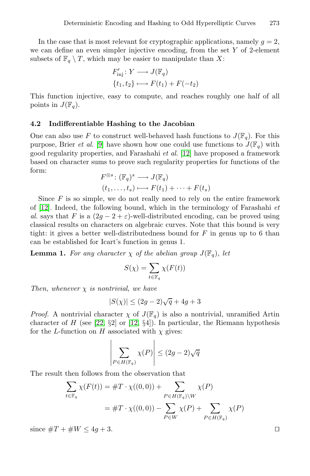In the case that is most relevant for cryptographic applications, namely  $g = 2$ , we can define an even simpler injective encoding, from the set Y of 2-element subsets of  $\mathbb{F}_q \setminus T$ , which may be easier to manipulate than X:

$$
F'_{\text{inj}}: Y \longrightarrow J(\mathbb{F}_q)
$$
  

$$
\{t_1, t_2\} \longmapsto F(t_1) + F(-t_2)
$$

This function injective, easy to compute, and reaches roughly one half of all points in  $J(\mathbb{F}_q)$ .

#### **4.2 Indifferentiable Hashing to the Jacobian**

One can also use F to construct well-behaved hash functions to  $J(\mathbb{F}_q)$ . For this purpose, Brier *et al.* [9] have shown how one could use functions to  $J(\mathbb{F}_q)$  with good regularity properties, and Farashahi *et al.* [12] have proposed a framework based on character sums to prove such regularity properties for functions of the form:

$$
F^{\otimes s} : (\mathbb{F}_q)^s \longrightarrow J(\mathbb{F}_q)
$$
  

$$
(t_1, \dots, t_s) \longmapsto F(t_1) + \dots + F(t_s)
$$

Since  $F$  is so simple, we do not really need to rely on the entire framework of [12]. Indeed, the following bound, which in the terminology of Farashahi *et al.* says that F is a  $(2g - 2 + \varepsilon)$ -well-distributed encoding, can be proved using classical results on characters on algebraic curves. Note that this bound is very tight: it gives a better well-distributedness bound for  $F$  in genus up to 6 than can be established for Icart's function in genus 1.

**L[em](#page-12-6)ma 1.** *[For](#page-11-12) any character*  $\chi$  *of the abelian group*  $J(\mathbb{F}_q)$ *, let* 

$$
S(\chi) = \sum_{t \in \mathbb{F}_q} \chi(F(t))
$$

*Then, whenever* χ *is nontrivial, we have*

$$
|S(\chi)| \le (2g-2)\sqrt{q} + 4g + 3
$$

*Proof.* A nontrivial character  $\chi$  of  $J(\mathbb{F}_q)$  is also a nontrivial, unramified Artin character of H (see  $[22, \S2]$  or  $[12, \S4]$ ). In particular, the Riemann hypothesis for the L-function on H associated with  $\chi$  gives:

$$
\left|\sum_{P \in H(\mathbb{F}_q)} \chi(P)\right| \le (2g-2)\sqrt{q}
$$

The result then follows from the observation that

$$
\sum_{t \in \mathbb{F}_q} \chi(F(t)) = \#T \cdot \chi((0,0)) + \sum_{P \in H(\mathbb{F}_q) \backslash W} \chi(P)
$$

$$
= \#T \cdot \chi((0,0)) - \sum_{P \in W} \chi(P) + \sum_{P \in H(\mathbb{F}_q)} \chi(P)
$$

since  $\#T + \#W \leq 4g + 3$ .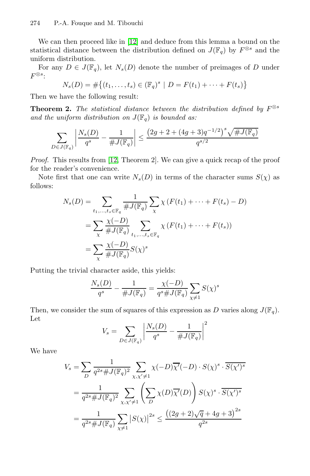We can then proceed like in [12] and deduce from this lemma a bound on the statistical distance between the distribution defined on  $J(\mathbb{F}_q)$  by  $F^{\otimes s}$  and the uniform distribution.

For any  $D \in J(\mathbb{F}_q)$ , let  $N_s(D)$  denote the number of preimages of D under  $F^{\otimes s}$ :

$$
N_s(D) = \#\{(t_1, \ldots, t_s) \in (\mathbb{F}_q)^s \mid D = F(t_1) + \cdots + F(t_s)\}
$$

Then [we](#page-11-12) have the following result:

**Theorem 2.** *The statistical distance between the distribution defined by*  $F^{\otimes s}$ and the uniform distribution on  $J(\mathbb{F}_q)$  is bounded as:

$$
\sum_{D\in J(\mathbb{F}_q)}\left|\frac{N_s(D)}{q^s}-\frac{1}{\#J(\mathbb{F}_q)}\right|\leq \frac{\left(2g+2+(4g+3)q^{-1/2}\right)^s\sqrt{\#J(\mathbb{F}_q)}}{q^{s/2}}
$$

*Proof.* This results from [12, Theorem 2]. We can give a quick recap of the proof for the reader's convenience.

Note first that one can write  $N_s(D)$  in terms of the character sums  $S(\chi)$  as follows:

$$
N_s(D) = \sum_{t_1,\dots,t_s \in \mathbb{F}_q} \frac{1}{\#J(\mathbb{F}_q)} \sum_{\chi} \chi(F(t_1) + \dots + F(t_s) - D)
$$
  
= 
$$
\sum_{\chi} \frac{\chi(-D)}{\#J(\mathbb{F}_q)} \sum_{t_1,\dots,t_s \in \mathbb{F}_q} \chi(F(t_1) + \dots + F(t_s))
$$
  
= 
$$
\sum_{\chi} \frac{\chi(-D)}{\#J(\mathbb{F}_q)} S(\chi)^s
$$

Putting the trivial character aside, this yields:

$$
\frac{N_s(D)}{q^s}-\frac{1}{\#J(\mathbb{F}_q)}=\frac{\chi(-D)}{q^s\#J(\mathbb{F}_q)}\sum_{\chi\neq 1}S(\chi)^s
$$

Then, we consider the sum of squares of this expression as D varies along  $J(\mathbb{F}_q)$ . Let

$$
V_s = \sum_{D \in J(\mathbb{F}_q)} \left| \frac{N_s(D)}{q^s} - \frac{1}{\# J(\mathbb{F}_q)} \right|^2
$$

We have

$$
V_s = \sum_{D} \frac{1}{q^{2s} \# J(\mathbb{F}_q)^2} \sum_{\chi, \chi' \neq 1} \chi(-D) \overline{\chi'}(-D) \cdot S(\chi)^s \cdot \overline{S(\chi')^s}
$$
  
= 
$$
\frac{1}{q^{2s} \# J(\mathbb{F}_q)^2} \sum_{\chi, \chi' \neq 1} \left( \sum_{D} \chi(D) \overline{\chi'}(D) \right) S(\chi)^s \cdot \overline{S(\chi')^s}
$$
  
= 
$$
\frac{1}{q^{2s} \# J(\mathbb{F}_q)} \sum_{\chi \neq 1} |S(\chi)|^{2s} \leq \frac{((2g+2)\sqrt{q} + 4g + 3)^{2s}}{q^{2s}}
$$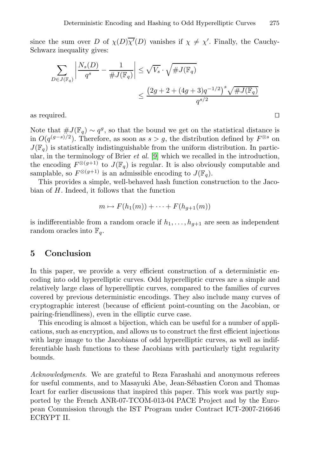since the sum over D of  $\chi(D)\overline{\chi'}(D)$  vanishes if  $\chi \neq \chi'$ . Finally, the Cauchy-Schwarz inequality gives:

$$
\sum_{D \in J(\mathbb{F}_q)} \left| \frac{N_s(D)}{q^s} - \frac{1}{\#J(\mathbb{F}_q)} \right| \le \sqrt{V_s} \cdot \sqrt{\#J(\mathbb{F}_q)}
$$

$$
\le \frac{\left(2g + 2 + (4g + 3)q^{-1/2}\right)^s \sqrt{\#J(\mathbb{F}_q)}}{q^{s/2}}
$$

as required.  $\square$ 

Note that  $\#J(\mathbb{F}_q) \sim q^g$ , so that the bound we get on the statistical distance is in  $O(q^{(g-s)/2})$ . Therefore, as soon as  $s > g$ , the distribution defined by  $F^{\otimes s}$  on  $J(\mathbb{F}_q)$  is statistically indistinguishable from the uniform distribution. In particular, in the terminology of Brier *et al.* [9] which we recalled in the introduction, the encoding  $F^{\otimes (g+1)}$  to  $J(\mathbb{F}_q)$  is regular. It is also obviously computable and samplable, so  $F^{\otimes (g+1)}$  is an admissible encoding to  $J(\mathbb{F}_q)$ .

This provides a simple, well-behaved hash function construction to the Jacobian of H. Indeed, it follows that the function

$$
m \mapsto F(h_1(m)) + \cdots + F(h_{g+1}(m))
$$

is indifferentiable from a random oracle if  $h_1, \ldots, h_{q+1}$  are seen as independent random oracles into  $\mathbb{F}_q$ .

### **5 Conclusion**

In this paper, we provide a very efficient construction of a deterministic encoding into odd hyperelliptic curves. Odd hyperelliptic curves are a simple and relatively large class of hyperelliptic curves, compared to the families of curves covered by previous deterministic encodings. They also include many curves of cryptographic interest (because of efficient point-counting on the Jacobian, or pairing-friendliness), even in the elliptic curve case.

This encoding is almost a bijection, which can be useful for a number of applications, such as encryption, and allows us to construct the first efficient injections with large image to the Jacobians of odd hyperelliptic curves, as well as indifferentiable hash functions to these Jacobians with particularly tight regularity bounds.

*Acknowledgments.* We are grateful to Reza Farashahi and anonymous referees for useful comments, and to Masayuki Abe, Jean-Sébastien Coron and Thomas Icart for earlier discussions that inspired this paper. This work was partly supported by the French ANR-07-TCOM-013-04 PACE Project and by the European Commission through the IST Program under Contract ICT-2007-216646 ECRYPT II.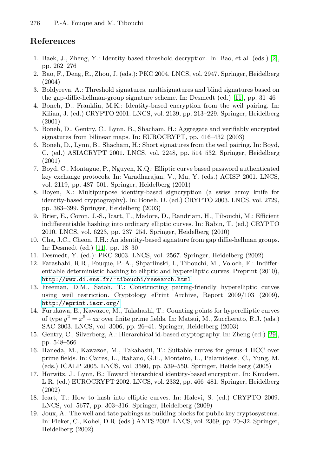### <span id="page-11-14"></span><span id="page-11-7"></span><span id="page-11-1"></span><span id="page-11-0"></span>**References**

- 1. Baek, J., Zheng, Y.: Identity-based threshold decryption. In: Bao, et al. (eds.) [2], pp. 262–276
- <span id="page-11-2"></span>2. Bao, F., Deng, R., Zhou, J. (eds.): PKC 2004. LNCS, vol. 2947. Springer, Heidelberg (2004)
- <span id="page-11-5"></span>3. Boldyreva, A.: Threshold signatures, multisignatures and blind signatures based on the gap-diffie-hellman-group signature scheme. In: Desmedt (ed.) [11], pp. 31–46
- 4. Boneh, D., Franklin, M.K.: Identity-based encryption from the weil pairing. In: Kilian, J. (ed.) CRYPTO 2001. LNCS, vol. 2139, pp. 213–229. Springer, Heidelberg (2001)
- 5. Boneh, D., Gentry, C., Lynn, B., Shacham, H.: Aggregate and verifiably encrypted signatures from bilinear maps. In: EUROCRYPT, pp. 416–432 (2003)
- <span id="page-11-4"></span>6. Boneh, D., Lynn, B., Shacham, H.: Short signatures from the weil pairing. In: Boyd, C. (ed.) ASIACRYPT 2001. LNCS, vol. 2248, pp. 514–532. Springer, Heidelberg (2001)
- <span id="page-11-3"></span>7. Boyd, C., Montague, P., Nguyen, K.Q.: Elliptic curve based password authenticated key exchange protocols. In: Varadharajan, V., Mu, Y. (eds.) ACISP 2001. LNCS, [v](#page-11-13)ol. 2119, pp. 487–501. Springer, Heidelberg (2001)
- <span id="page-11-13"></span><span id="page-11-12"></span>8. Boyen, X.: Multipurpose identity-based signcryption (a swiss army knife for identity-based cryptography). In: Boneh, D. (ed.) CRYPTO 2003. LNCS, vol. 2729, pp. 383–399. Springer, Heidelberg (2003)
- <span id="page-11-10"></span>[9.](http://www.di.ens.fr/~tibouchi/research.html) [Brier,](http://www.di.ens.fr/~tibouchi/research.html) [E.,](http://www.di.ens.fr/~tibouchi/research.html) [Coron,](http://www.di.ens.fr/~tibouchi/research.html) [J.-S.,](http://www.di.ens.fr/~tibouchi/research.html) [Icart,](http://www.di.ens.fr/~tibouchi/research.html) [T.,](http://www.di.ens.fr/~tibouchi/research.html) Madore, D., Randriam, H., Tibouchi, M.: Efficient indifferentiable hashing into ordinary elliptic curves. In: Rabin, T. (ed.) CRYPTO 2010. LNCS, vol. 6223, pp. 237–254. Springer, Heidelberg (2010)
- <span id="page-11-8"></span>[10.](http://eprint.iacr.org/) [Cha,](http://eprint.iacr.org/) [J.](http://eprint.iacr.org/)C., Cheon, J.H.: An identity-based signature from gap diffie-hellman groups. In: Desmedt (ed.) [11], pp. 18–30
- 11. Desmedt, Y. (ed.): PKC 2003. LNCS, vol. 2567. Springer, Heidelberg (2002)
- 12. Farashahi, R.R., Fouque, P.-A., Shparlinski, I., Tibouchi, M., Voloch, F.: Indifferentiable deterministic hashing to elliptic and hyperellipti[c](#page-12-7) [cu](#page-12-7)rves. Preprint (2010), http://www.di.ens.fr/~tibouchi/research.html
- <span id="page-11-9"></span>13. Freeman, D.M., Satoh, T.: Constructing pairing-friendly hyperelliptic curves using weil restriction. Cryptology ePrint Archive, Report 2009/103 (2009), http://eprint.iacr.org/
- 14. Furukawa, E., Kawazoe, M., Takahashi, T.: Counting points for hyperelliptic curves of type  $y^2 = x^5 + ax$  over finite prime fields. In: Matsui, M., Zuccherato, R.J. (eds.) SAC 2003. LNCS, vol. 3006, pp. 26–41. Springer, Heidelberg (2003)
- <span id="page-11-11"></span><span id="page-11-6"></span>15. Gentry, C., Silverberg, A.: Hierarchical id-based cryptography. In: Zheng (ed.) [29], pp. 548–566
- 16. Haneda, M., Kawazoe, M., Takahashi, T.: Suitable curves for genus-4 HCC over prime fields. In: Caires, L., Italiano, G.F., Monteiro, L., Palamidessi, C., Yung, M. (eds.) ICALP 2005. LNCS, vol. 3580, pp. 539–550. Springer, Heidelberg (2005)
- 17. Horwitz, J., Lynn, B.: Toward hierarchical identity-based encryption. In: Knudsen, L.R. (ed.) EUROCRYPT 2002. LNCS, vol. 2332, pp. 466–481. Springer, Heidelberg (2002)
- 18. Icart, T.: How to hash into elliptic curves. In: Halevi, S. (ed.) CRYPTO 2009. LNCS, vol. 5677, pp. 303–316. Springer, Heidelberg (2009)
- 19. Joux, A.: The weil and tate pairings as building blocks for public key cryptosystems. In: Fieker, C., Kohel, D.R. (eds.) ANTS 2002. LNCS, vol. 2369, pp. 20–32. Springer, Heidelberg (2002)